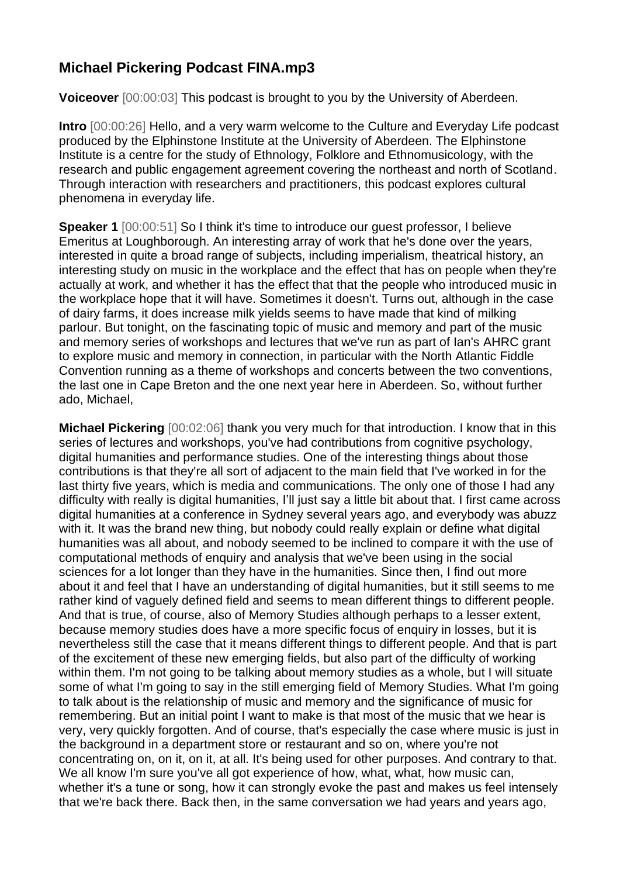## **Michael Pickering Podcast FINA.mp3**

**Voiceover** [00:00:03] This podcast is brought to you by the University of Aberdeen.

**Intro** [00:00:26] Hello, and a very warm welcome to the Culture and Everyday Life podcast produced by the Elphinstone Institute at the University of Aberdeen. The Elphinstone Institute is a centre for the study of Ethnology, Folklore and Ethnomusicology, with the research and public engagement agreement covering the northeast and north of Scotland. Through interaction with researchers and practitioners, this podcast explores cultural phenomena in everyday life.

**Speaker 1** [00:00:51] So I think it's time to introduce our quest professor, I believe Emeritus at Loughborough. An interesting array of work that he's done over the years, interested in quite a broad range of subjects, including imperialism, theatrical history, an interesting study on music in the workplace and the effect that has on people when they're actually at work, and whether it has the effect that that the people who introduced music in the workplace hope that it will have. Sometimes it doesn't. Turns out, although in the case of dairy farms, it does increase milk yields seems to have made that kind of milking parlour. But tonight, on the fascinating topic of music and memory and part of the music and memory series of workshops and lectures that we've run as part of Ian's AHRC grant to explore music and memory in connection, in particular with the North Atlantic Fiddle Convention running as a theme of workshops and concerts between the two conventions, the last one in Cape Breton and the one next year here in Aberdeen. So, without further ado, Michael,

**Michael Pickering** [00:02:06] thank you very much for that introduction. I know that in this series of lectures and workshops, you've had contributions from cognitive psychology, digital humanities and performance studies. One of the interesting things about those contributions is that they're all sort of adjacent to the main field that I've worked in for the last thirty five years, which is media and communications. The only one of those I had any difficulty with really is digital humanities, I'll just say a little bit about that. I first came across digital humanities at a conference in Sydney several years ago, and everybody was abuzz with it. It was the brand new thing, but nobody could really explain or define what digital humanities was all about, and nobody seemed to be inclined to compare it with the use of computational methods of enquiry and analysis that we've been using in the social sciences for a lot longer than they have in the humanities. Since then, I find out more about it and feel that I have an understanding of digital humanities, but it still seems to me rather kind of vaguely defined field and seems to mean different things to different people. And that is true, of course, also of Memory Studies although perhaps to a lesser extent, because memory studies does have a more specific focus of enquiry in losses, but it is nevertheless still the case that it means different things to different people. And that is part of the excitement of these new emerging fields, but also part of the difficulty of working within them. I'm not going to be talking about memory studies as a whole, but I will situate some of what I'm going to say in the still emerging field of Memory Studies. What I'm going to talk about is the relationship of music and memory and the significance of music for remembering. But an initial point I want to make is that most of the music that we hear is very, very quickly forgotten. And of course, that's especially the case where music is just in the background in a department store or restaurant and so on, where you're not concentrating on, on it, on it, at all. It's being used for other purposes. And contrary to that. We all know I'm sure you've all got experience of how, what, what, how music can, whether it's a tune or song, how it can strongly evoke the past and makes us feel intensely that we're back there. Back then, in the same conversation we had years and years ago,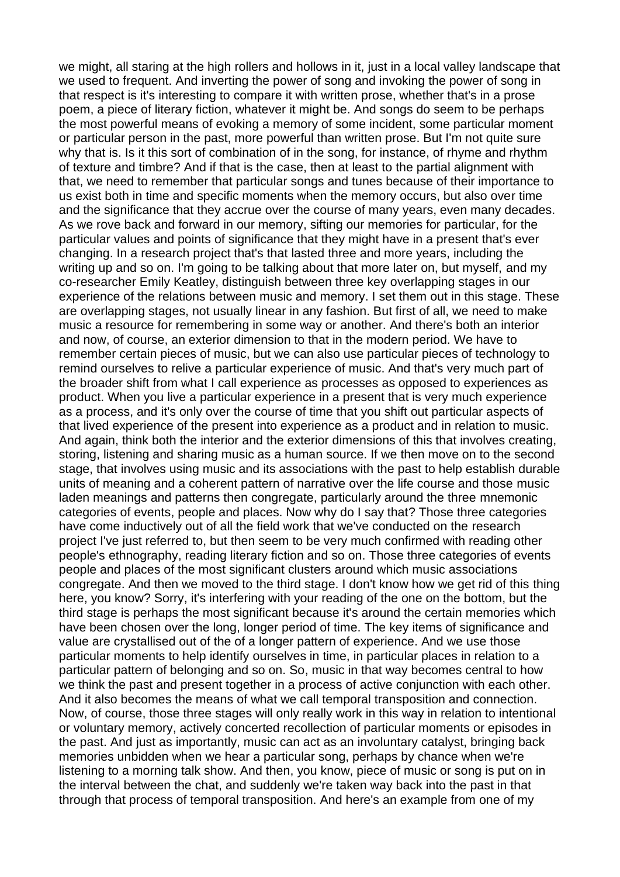we might, all staring at the high rollers and hollows in it, just in a local valley landscape that we used to frequent. And inverting the power of song and invoking the power of song in that respect is it's interesting to compare it with written prose, whether that's in a prose poem, a piece of literary fiction, whatever it might be. And songs do seem to be perhaps the most powerful means of evoking a memory of some incident, some particular moment or particular person in the past, more powerful than written prose. But I'm not quite sure why that is. Is it this sort of combination of in the song, for instance, of rhyme and rhythm of texture and timbre? And if that is the case, then at least to the partial alignment with that, we need to remember that particular songs and tunes because of their importance to us exist both in time and specific moments when the memory occurs, but also over time and the significance that they accrue over the course of many years, even many decades. As we rove back and forward in our memory, sifting our memories for particular, for the particular values and points of significance that they might have in a present that's ever changing. In a research project that's that lasted three and more years, including the writing up and so on. I'm going to be talking about that more later on, but myself, and my co-researcher Emily Keatley, distinguish between three key overlapping stages in our experience of the relations between music and memory. I set them out in this stage. These are overlapping stages, not usually linear in any fashion. But first of all, we need to make music a resource for remembering in some way or another. And there's both an interior and now, of course, an exterior dimension to that in the modern period. We have to remember certain pieces of music, but we can also use particular pieces of technology to remind ourselves to relive a particular experience of music. And that's very much part of the broader shift from what I call experience as processes as opposed to experiences as product. When you live a particular experience in a present that is very much experience as a process, and it's only over the course of time that you shift out particular aspects of that lived experience of the present into experience as a product and in relation to music. And again, think both the interior and the exterior dimensions of this that involves creating, storing, listening and sharing music as a human source. If we then move on to the second stage, that involves using music and its associations with the past to help establish durable units of meaning and a coherent pattern of narrative over the life course and those music laden meanings and patterns then congregate, particularly around the three mnemonic categories of events, people and places. Now why do I say that? Those three categories have come inductively out of all the field work that we've conducted on the research project I've just referred to, but then seem to be very much confirmed with reading other people's ethnography, reading literary fiction and so on. Those three categories of events people and places of the most significant clusters around which music associations congregate. And then we moved to the third stage. I don't know how we get rid of this thing here, you know? Sorry, it's interfering with your reading of the one on the bottom, but the third stage is perhaps the most significant because it's around the certain memories which have been chosen over the long, longer period of time. The key items of significance and value are crystallised out of the of a longer pattern of experience. And we use those particular moments to help identify ourselves in time, in particular places in relation to a particular pattern of belonging and so on. So, music in that way becomes central to how we think the past and present together in a process of active conjunction with each other. And it also becomes the means of what we call temporal transposition and connection. Now, of course, those three stages will only really work in this way in relation to intentional or voluntary memory, actively concerted recollection of particular moments or episodes in the past. And just as importantly, music can act as an involuntary catalyst, bringing back memories unbidden when we hear a particular song, perhaps by chance when we're listening to a morning talk show. And then, you know, piece of music or song is put on in the interval between the chat, and suddenly we're taken way back into the past in that through that process of temporal transposition. And here's an example from one of my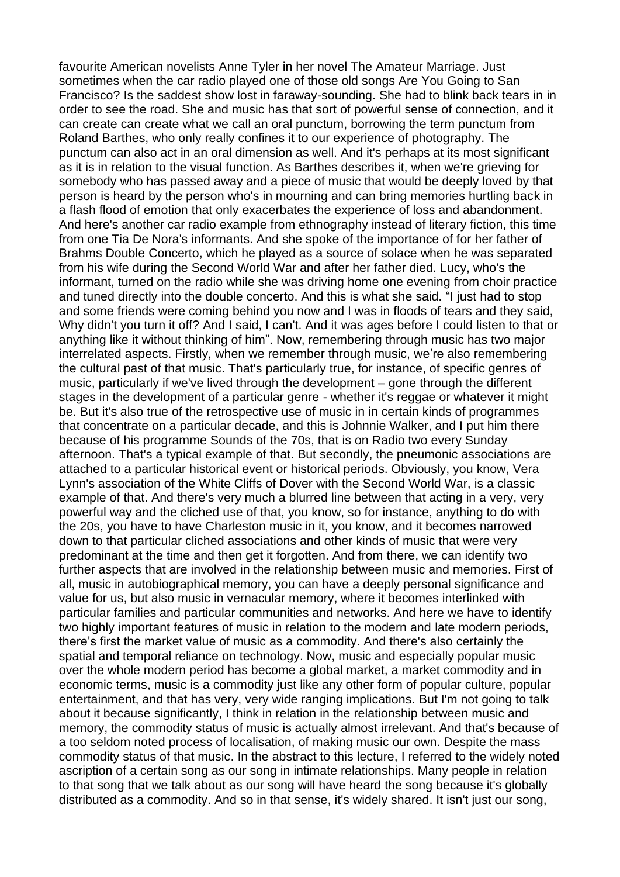favourite American novelists Anne Tyler in her novel The Amateur Marriage. Just sometimes when the car radio played one of those old songs Are You Going to San Francisco? Is the saddest show lost in faraway-sounding. She had to blink back tears in in order to see the road. She and music has that sort of powerful sense of connection, and it can create can create what we call an oral punctum, borrowing the term punctum from Roland Barthes, who only really confines it to our experience of photography. The punctum can also act in an oral dimension as well. And it's perhaps at its most significant as it is in relation to the visual function. As Barthes describes it, when we're grieving for somebody who has passed away and a piece of music that would be deeply loved by that person is heard by the person who's in mourning and can bring memories hurtling back in a flash flood of emotion that only exacerbates the experience of loss and abandonment. And here's another car radio example from ethnography instead of literary fiction, this time from one Tia De Nora's informants. And she spoke of the importance of for her father of Brahms Double Concerto, which he played as a source of solace when he was separated from his wife during the Second World War and after her father died. Lucy, who's the informant, turned on the radio while she was driving home one evening from choir practice and tuned directly into the double concerto. And this is what she said. "I just had to stop and some friends were coming behind you now and I was in floods of tears and they said, Why didn't you turn it off? And I said, I can't. And it was ages before I could listen to that or anything like it without thinking of him". Now, remembering through music has two major interrelated aspects. Firstly, when we remember through music, we're also remembering the cultural past of that music. That's particularly true, for instance, of specific genres of music, particularly if we've lived through the development – gone through the different stages in the development of a particular genre - whether it's reggae or whatever it might be. But it's also true of the retrospective use of music in in certain kinds of programmes that concentrate on a particular decade, and this is Johnnie Walker, and I put him there because of his programme Sounds of the 70s, that is on Radio two every Sunday afternoon. That's a typical example of that. But secondly, the pneumonic associations are attached to a particular historical event or historical periods. Obviously, you know, Vera Lynn's association of the White Cliffs of Dover with the Second World War, is a classic example of that. And there's very much a blurred line between that acting in a very, very powerful way and the cliched use of that, you know, so for instance, anything to do with the 20s, you have to have Charleston music in it, you know, and it becomes narrowed down to that particular cliched associations and other kinds of music that were very predominant at the time and then get it forgotten. And from there, we can identify two further aspects that are involved in the relationship between music and memories. First of all, music in autobiographical memory, you can have a deeply personal significance and value for us, but also music in vernacular memory, where it becomes interlinked with particular families and particular communities and networks. And here we have to identify two highly important features of music in relation to the modern and late modern periods, there's first the market value of music as a commodity. And there's also certainly the spatial and temporal reliance on technology. Now, music and especially popular music over the whole modern period has become a global market, a market commodity and in economic terms, music is a commodity just like any other form of popular culture, popular entertainment, and that has very, very wide ranging implications. But I'm not going to talk about it because significantly, I think in relation in the relationship between music and memory, the commodity status of music is actually almost irrelevant. And that's because of a too seldom noted process of localisation, of making music our own. Despite the mass commodity status of that music. In the abstract to this lecture, I referred to the widely noted ascription of a certain song as our song in intimate relationships. Many people in relation to that song that we talk about as our song will have heard the song because it's globally distributed as a commodity. And so in that sense, it's widely shared. It isn't just our song,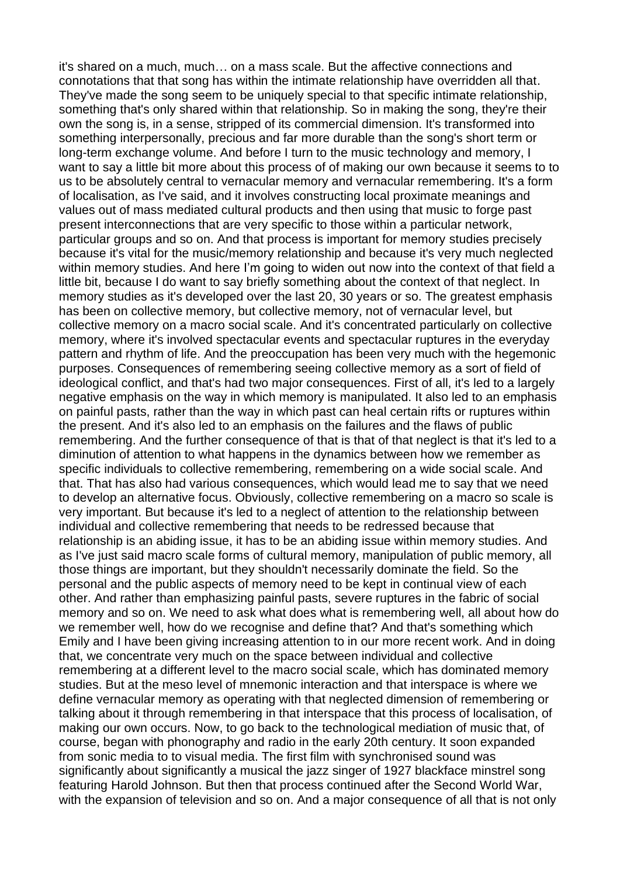it's shared on a much, much… on a mass scale. But the affective connections and connotations that that song has within the intimate relationship have overridden all that. They've made the song seem to be uniquely special to that specific intimate relationship, something that's only shared within that relationship. So in making the song, they're their own the song is, in a sense, stripped of its commercial dimension. It's transformed into something interpersonally, precious and far more durable than the song's short term or long-term exchange volume. And before I turn to the music technology and memory, I want to say a little bit more about this process of of making our own because it seems to to us to be absolutely central to vernacular memory and vernacular remembering. It's a form of localisation, as I've said, and it involves constructing local proximate meanings and values out of mass mediated cultural products and then using that music to forge past present interconnections that are very specific to those within a particular network, particular groups and so on. And that process is important for memory studies precisely because it's vital for the music/memory relationship and because it's very much neglected within memory studies. And here I'm going to widen out now into the context of that field a little bit, because I do want to say briefly something about the context of that neglect. In memory studies as it's developed over the last 20, 30 years or so. The greatest emphasis has been on collective memory, but collective memory, not of vernacular level, but collective memory on a macro social scale. And it's concentrated particularly on collective memory, where it's involved spectacular events and spectacular ruptures in the everyday pattern and rhythm of life. And the preoccupation has been very much with the hegemonic purposes. Consequences of remembering seeing collective memory as a sort of field of ideological conflict, and that's had two major consequences. First of all, it's led to a largely negative emphasis on the way in which memory is manipulated. It also led to an emphasis on painful pasts, rather than the way in which past can heal certain rifts or ruptures within the present. And it's also led to an emphasis on the failures and the flaws of public remembering. And the further consequence of that is that of that neglect is that it's led to a diminution of attention to what happens in the dynamics between how we remember as specific individuals to collective remembering, remembering on a wide social scale. And that. That has also had various consequences, which would lead me to say that we need to develop an alternative focus. Obviously, collective remembering on a macro so scale is very important. But because it's led to a neglect of attention to the relationship between individual and collective remembering that needs to be redressed because that relationship is an abiding issue, it has to be an abiding issue within memory studies. And as I've just said macro scale forms of cultural memory, manipulation of public memory, all those things are important, but they shouldn't necessarily dominate the field. So the personal and the public aspects of memory need to be kept in continual view of each other. And rather than emphasizing painful pasts, severe ruptures in the fabric of social memory and so on. We need to ask what does what is remembering well, all about how do we remember well, how do we recognise and define that? And that's something which Emily and I have been giving increasing attention to in our more recent work. And in doing that, we concentrate very much on the space between individual and collective remembering at a different level to the macro social scale, which has dominated memory studies. But at the meso level of mnemonic interaction and that interspace is where we define vernacular memory as operating with that neglected dimension of remembering or talking about it through remembering in that interspace that this process of localisation, of making our own occurs. Now, to go back to the technological mediation of music that, of course, began with phonography and radio in the early 20th century. It soon expanded from sonic media to to visual media. The first film with synchronised sound was significantly about significantly a musical the jazz singer of 1927 blackface minstrel song featuring Harold Johnson. But then that process continued after the Second World War, with the expansion of television and so on. And a major consequence of all that is not only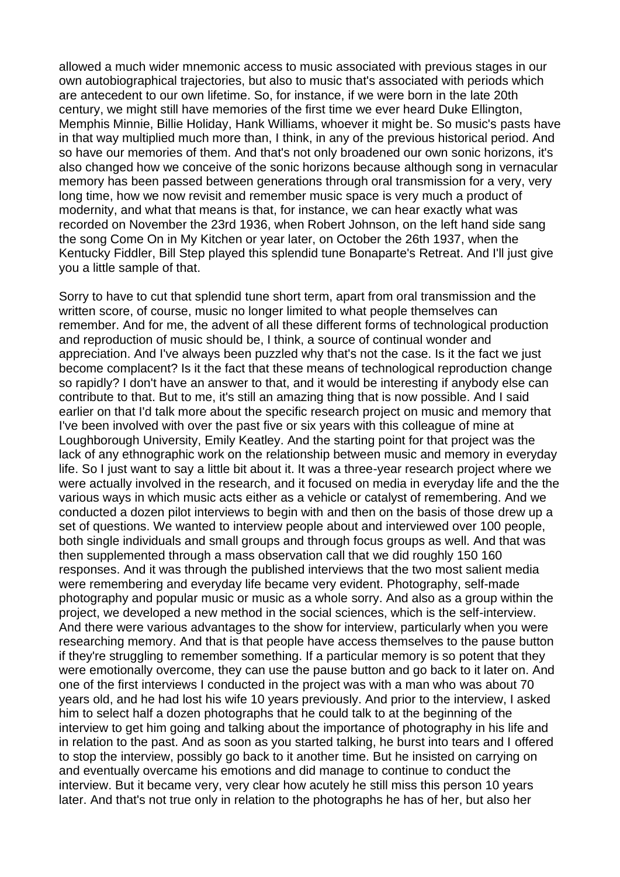allowed a much wider mnemonic access to music associated with previous stages in our own autobiographical trajectories, but also to music that's associated with periods which are antecedent to our own lifetime. So, for instance, if we were born in the late 20th century, we might still have memories of the first time we ever heard Duke Ellington, Memphis Minnie, Billie Holiday, Hank Williams, whoever it might be. So music's pasts have in that way multiplied much more than, I think, in any of the previous historical period. And so have our memories of them. And that's not only broadened our own sonic horizons, it's also changed how we conceive of the sonic horizons because although song in vernacular memory has been passed between generations through oral transmission for a very, very long time, how we now revisit and remember music space is very much a product of modernity, and what that means is that, for instance, we can hear exactly what was recorded on November the 23rd 1936, when Robert Johnson, on the left hand side sang the song Come On in My Kitchen or year later, on October the 26th 1937, when the Kentucky Fiddler, Bill Step played this splendid tune Bonaparte's Retreat. And I'll just give you a little sample of that.

Sorry to have to cut that splendid tune short term, apart from oral transmission and the written score, of course, music no longer limited to what people themselves can remember. And for me, the advent of all these different forms of technological production and reproduction of music should be, I think, a source of continual wonder and appreciation. And I've always been puzzled why that's not the case. Is it the fact we just become complacent? Is it the fact that these means of technological reproduction change so rapidly? I don't have an answer to that, and it would be interesting if anybody else can contribute to that. But to me, it's still an amazing thing that is now possible. And I said earlier on that I'd talk more about the specific research project on music and memory that I've been involved with over the past five or six years with this colleague of mine at Loughborough University, Emily Keatley. And the starting point for that project was the lack of any ethnographic work on the relationship between music and memory in everyday life. So I just want to say a little bit about it. It was a three-year research project where we were actually involved in the research, and it focused on media in everyday life and the the various ways in which music acts either as a vehicle or catalyst of remembering. And we conducted a dozen pilot interviews to begin with and then on the basis of those drew up a set of questions. We wanted to interview people about and interviewed over 100 people, both single individuals and small groups and through focus groups as well. And that was then supplemented through a mass observation call that we did roughly 150 160 responses. And it was through the published interviews that the two most salient media were remembering and everyday life became very evident. Photography, self-made photography and popular music or music as a whole sorry. And also as a group within the project, we developed a new method in the social sciences, which is the self-interview. And there were various advantages to the show for interview, particularly when you were researching memory. And that is that people have access themselves to the pause button if they're struggling to remember something. If a particular memory is so potent that they were emotionally overcome, they can use the pause button and go back to it later on. And one of the first interviews I conducted in the project was with a man who was about 70 years old, and he had lost his wife 10 years previously. And prior to the interview, I asked him to select half a dozen photographs that he could talk to at the beginning of the interview to get him going and talking about the importance of photography in his life and in relation to the past. And as soon as you started talking, he burst into tears and I offered to stop the interview, possibly go back to it another time. But he insisted on carrying on and eventually overcame his emotions and did manage to continue to conduct the interview. But it became very, very clear how acutely he still miss this person 10 years later. And that's not true only in relation to the photographs he has of her, but also her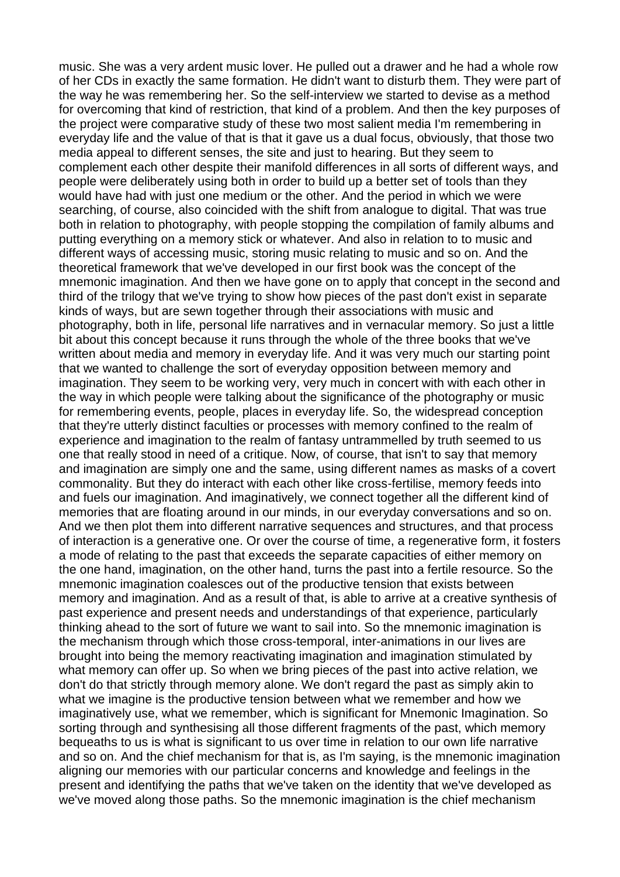music. She was a very ardent music lover. He pulled out a drawer and he had a whole row of her CDs in exactly the same formation. He didn't want to disturb them. They were part of the way he was remembering her. So the self-interview we started to devise as a method for overcoming that kind of restriction, that kind of a problem. And then the key purposes of the project were comparative study of these two most salient media I'm remembering in everyday life and the value of that is that it gave us a dual focus, obviously, that those two media appeal to different senses, the site and just to hearing. But they seem to complement each other despite their manifold differences in all sorts of different ways, and people were deliberately using both in order to build up a better set of tools than they would have had with just one medium or the other. And the period in which we were searching, of course, also coincided with the shift from analogue to digital. That was true both in relation to photography, with people stopping the compilation of family albums and putting everything on a memory stick or whatever. And also in relation to to music and different ways of accessing music, storing music relating to music and so on. And the theoretical framework that we've developed in our first book was the concept of the mnemonic imagination. And then we have gone on to apply that concept in the second and third of the trilogy that we've trying to show how pieces of the past don't exist in separate kinds of ways, but are sewn together through their associations with music and photography, both in life, personal life narratives and in vernacular memory. So just a little bit about this concept because it runs through the whole of the three books that we've written about media and memory in everyday life. And it was very much our starting point that we wanted to challenge the sort of everyday opposition between memory and imagination. They seem to be working very, very much in concert with with each other in the way in which people were talking about the significance of the photography or music for remembering events, people, places in everyday life. So, the widespread conception that they're utterly distinct faculties or processes with memory confined to the realm of experience and imagination to the realm of fantasy untrammelled by truth seemed to us one that really stood in need of a critique. Now, of course, that isn't to say that memory and imagination are simply one and the same, using different names as masks of a covert commonality. But they do interact with each other like cross-fertilise, memory feeds into and fuels our imagination. And imaginatively, we connect together all the different kind of memories that are floating around in our minds, in our everyday conversations and so on. And we then plot them into different narrative sequences and structures, and that process of interaction is a generative one. Or over the course of time, a regenerative form, it fosters a mode of relating to the past that exceeds the separate capacities of either memory on the one hand, imagination, on the other hand, turns the past into a fertile resource. So the mnemonic imagination coalesces out of the productive tension that exists between memory and imagination. And as a result of that, is able to arrive at a creative synthesis of past experience and present needs and understandings of that experience, particularly thinking ahead to the sort of future we want to sail into. So the mnemonic imagination is the mechanism through which those cross-temporal, inter-animations in our lives are brought into being the memory reactivating imagination and imagination stimulated by what memory can offer up. So when we bring pieces of the past into active relation, we don't do that strictly through memory alone. We don't regard the past as simply akin to what we imagine is the productive tension between what we remember and how we imaginatively use, what we remember, which is significant for Mnemonic Imagination. So sorting through and synthesising all those different fragments of the past, which memory bequeaths to us is what is significant to us over time in relation to our own life narrative and so on. And the chief mechanism for that is, as I'm saying, is the mnemonic imagination aligning our memories with our particular concerns and knowledge and feelings in the present and identifying the paths that we've taken on the identity that we've developed as we've moved along those paths. So the mnemonic imagination is the chief mechanism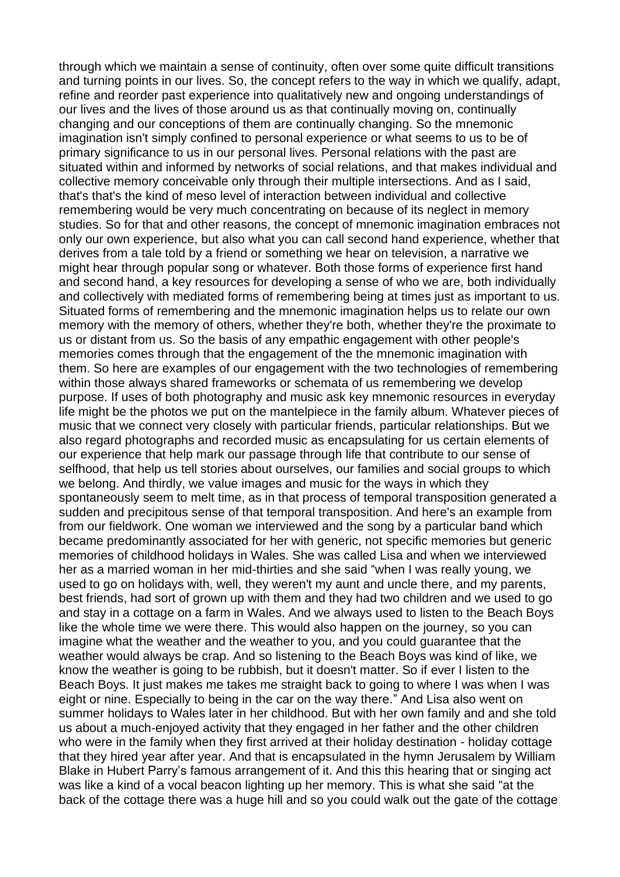through which we maintain a sense of continuity, often over some quite difficult transitions and turning points in our lives. So, the concept refers to the way in which we qualify, adapt, refine and reorder past experience into qualitatively new and ongoing understandings of our lives and the lives of those around us as that continually moving on, continually changing and our conceptions of them are continually changing. So the mnemonic imagination isn't simply confined to personal experience or what seems to us to be of primary significance to us in our personal lives. Personal relations with the past are situated within and informed by networks of social relations, and that makes individual and collective memory conceivable only through their multiple intersections. And as I said, that's that's the kind of meso level of interaction between individual and collective remembering would be very much concentrating on because of its neglect in memory studies. So for that and other reasons, the concept of mnemonic imagination embraces not only our own experience, but also what you can call second hand experience, whether that derives from a tale told by a friend or something we hear on television, a narrative we might hear through popular song or whatever. Both those forms of experience first hand and second hand, a key resources for developing a sense of who we are, both individually and collectively with mediated forms of remembering being at times just as important to us. Situated forms of remembering and the mnemonic imagination helps us to relate our own memory with the memory of others, whether they're both, whether they're the proximate to us or distant from us. So the basis of any empathic engagement with other people's memories comes through that the engagement of the the mnemonic imagination with them. So here are examples of our engagement with the two technologies of remembering within those always shared frameworks or schemata of us remembering we develop purpose. If uses of both photography and music ask key mnemonic resources in everyday life might be the photos we put on the mantelpiece in the family album. Whatever pieces of music that we connect very closely with particular friends, particular relationships. But we also regard photographs and recorded music as encapsulating for us certain elements of our experience that help mark our passage through life that contribute to our sense of selfhood, that help us tell stories about ourselves, our families and social groups to which we belong. And thirdly, we value images and music for the ways in which they spontaneously seem to melt time, as in that process of temporal transposition generated a sudden and precipitous sense of that temporal transposition. And here's an example from from our fieldwork. One woman we interviewed and the song by a particular band which became predominantly associated for her with generic, not specific memories but generic memories of childhood holidays in Wales. She was called Lisa and when we interviewed her as a married woman in her mid-thirties and she said "when I was really young, we used to go on holidays with, well, they weren't my aunt and uncle there, and my parents, best friends, had sort of grown up with them and they had two children and we used to go and stay in a cottage on a farm in Wales. And we always used to listen to the Beach Boys like the whole time we were there. This would also happen on the journey, so you can imagine what the weather and the weather to you, and you could guarantee that the weather would always be crap. And so listening to the Beach Boys was kind of like, we know the weather is going to be rubbish, but it doesn't matter. So if ever I listen to the Beach Boys. It just makes me takes me straight back to going to where I was when I was eight or nine. Especially to being in the car on the way there." And Lisa also went on summer holidays to Wales later in her childhood. But with her own family and and she told us about a much-enjoyed activity that they engaged in her father and the other children who were in the family when they first arrived at their holiday destination - holiday cottage that they hired year after year. And that is encapsulated in the hymn Jerusalem by William Blake in Hubert Parry's famous arrangement of it. And this this hearing that or singing act was like a kind of a vocal beacon lighting up her memory. This is what she said "at the back of the cottage there was a huge hill and so you could walk out the gate of the cottage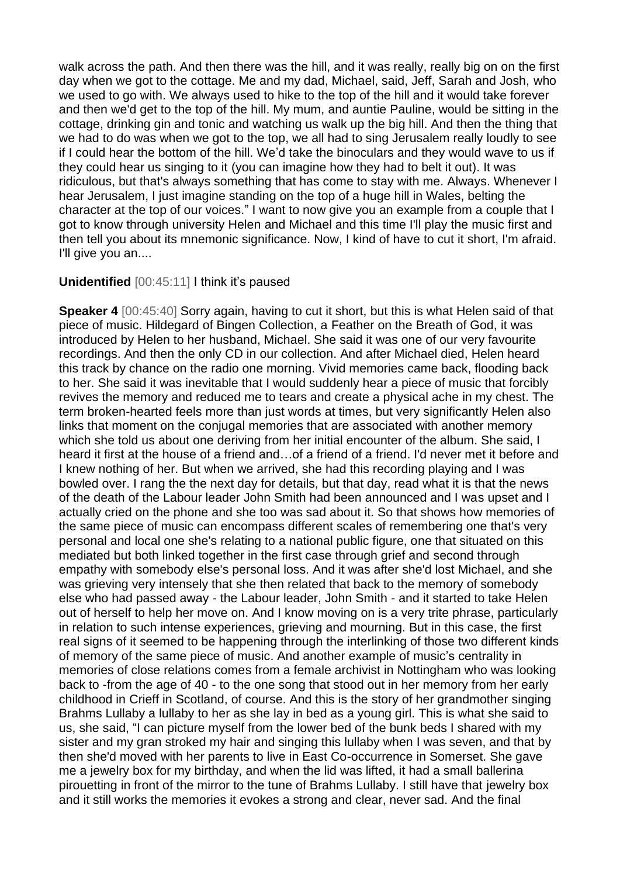walk across the path. And then there was the hill, and it was really, really big on on the first day when we got to the cottage. Me and my dad, Michael, said, Jeff, Sarah and Josh, who we used to go with. We always used to hike to the top of the hill and it would take forever and then we'd get to the top of the hill. My mum, and auntie Pauline, would be sitting in the cottage, drinking gin and tonic and watching us walk up the big hill. And then the thing that we had to do was when we got to the top, we all had to sing Jerusalem really loudly to see if I could hear the bottom of the hill. We'd take the binoculars and they would wave to us if they could hear us singing to it (you can imagine how they had to belt it out). It was ridiculous, but that's always something that has come to stay with me. Always. Whenever I hear Jerusalem, I just imagine standing on the top of a huge hill in Wales, belting the character at the top of our voices." I want to now give you an example from a couple that I got to know through university Helen and Michael and this time I'll play the music first and then tell you about its mnemonic significance. Now, I kind of have to cut it short, I'm afraid. I'll give you an....

## **Unidentified** [00:45:11] I think it's paused

**Speaker 4** [00:45:40] Sorry again, having to cut it short, but this is what Helen said of that piece of music. Hildegard of Bingen Collection, a Feather on the Breath of God, it was introduced by Helen to her husband, Michael. She said it was one of our very favourite recordings. And then the only CD in our collection. And after Michael died, Helen heard this track by chance on the radio one morning. Vivid memories came back, flooding back to her. She said it was inevitable that I would suddenly hear a piece of music that forcibly revives the memory and reduced me to tears and create a physical ache in my chest. The term broken-hearted feels more than just words at times, but very significantly Helen also links that moment on the conjugal memories that are associated with another memory which she told us about one deriving from her initial encounter of the album. She said, I heard it first at the house of a friend and…of a friend of a friend. I'd never met it before and I knew nothing of her. But when we arrived, she had this recording playing and I was bowled over. I rang the the next day for details, but that day, read what it is that the news of the death of the Labour leader John Smith had been announced and I was upset and I actually cried on the phone and she too was sad about it. So that shows how memories of the same piece of music can encompass different scales of remembering one that's very personal and local one she's relating to a national public figure, one that situated on this mediated but both linked together in the first case through grief and second through empathy with somebody else's personal loss. And it was after she'd lost Michael, and she was grieving very intensely that she then related that back to the memory of somebody else who had passed away - the Labour leader, John Smith - and it started to take Helen out of herself to help her move on. And I know moving on is a very trite phrase, particularly in relation to such intense experiences, grieving and mourning. But in this case, the first real signs of it seemed to be happening through the interlinking of those two different kinds of memory of the same piece of music. And another example of music's centrality in memories of close relations comes from a female archivist in Nottingham who was looking back to -from the age of 40 - to the one song that stood out in her memory from her early childhood in Crieff in Scotland, of course. And this is the story of her grandmother singing Brahms Lullaby a lullaby to her as she lay in bed as a young girl. This is what she said to us, she said, "I can picture myself from the lower bed of the bunk beds I shared with my sister and my gran stroked my hair and singing this lullaby when I was seven, and that by then she'd moved with her parents to live in East Co-occurrence in Somerset. She gave me a jewelry box for my birthday, and when the lid was lifted, it had a small ballerina pirouetting in front of the mirror to the tune of Brahms Lullaby. I still have that jewelry box and it still works the memories it evokes a strong and clear, never sad. And the final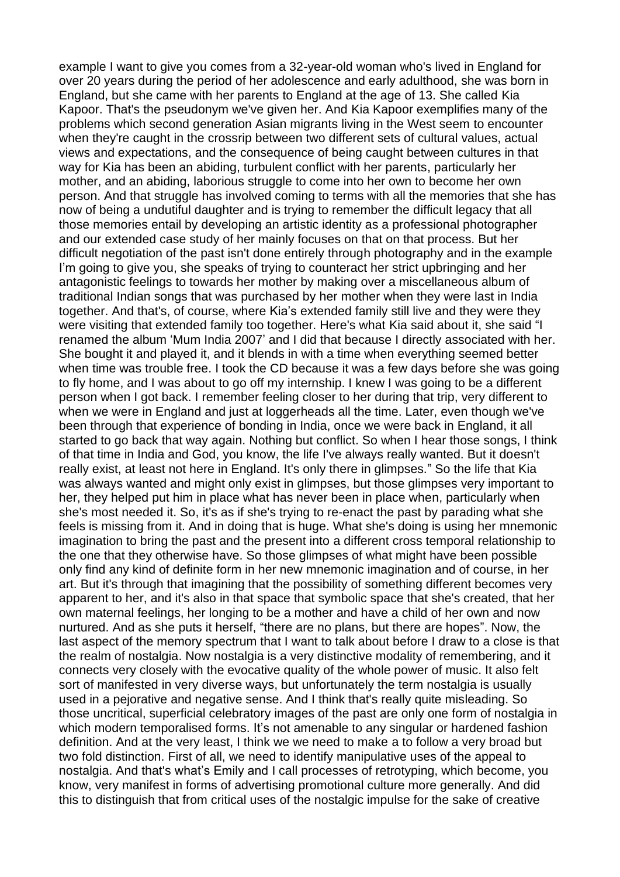example I want to give you comes from a 32-year-old woman who's lived in England for over 20 years during the period of her adolescence and early adulthood, she was born in England, but she came with her parents to England at the age of 13. She called Kia Kapoor. That's the pseudonym we've given her. And Kia Kapoor exemplifies many of the problems which second generation Asian migrants living in the West seem to encounter when they're caught in the crossrip between two different sets of cultural values, actual views and expectations, and the consequence of being caught between cultures in that way for Kia has been an abiding, turbulent conflict with her parents, particularly her mother, and an abiding, laborious struggle to come into her own to become her own person. And that struggle has involved coming to terms with all the memories that she has now of being a undutiful daughter and is trying to remember the difficult legacy that all those memories entail by developing an artistic identity as a professional photographer and our extended case study of her mainly focuses on that on that process. But her difficult negotiation of the past isn't done entirely through photography and in the example I'm going to give you, she speaks of trying to counteract her strict upbringing and her antagonistic feelings to towards her mother by making over a miscellaneous album of traditional Indian songs that was purchased by her mother when they were last in India together. And that's, of course, where Kia's extended family still live and they were they were visiting that extended family too together. Here's what Kia said about it, she said "I renamed the album 'Mum India 2007' and I did that because I directly associated with her. She bought it and played it, and it blends in with a time when everything seemed better when time was trouble free. I took the CD because it was a few days before she was going to fly home, and I was about to go off my internship. I knew I was going to be a different person when I got back. I remember feeling closer to her during that trip, very different to when we were in England and just at loggerheads all the time. Later, even though we've been through that experience of bonding in India, once we were back in England, it all started to go back that way again. Nothing but conflict. So when I hear those songs, I think of that time in India and God, you know, the life I've always really wanted. But it doesn't really exist, at least not here in England. It's only there in glimpses." So the life that Kia was always wanted and might only exist in glimpses, but those glimpses very important to her, they helped put him in place what has never been in place when, particularly when she's most needed it. So, it's as if she's trying to re-enact the past by parading what she feels is missing from it. And in doing that is huge. What she's doing is using her mnemonic imagination to bring the past and the present into a different cross temporal relationship to the one that they otherwise have. So those glimpses of what might have been possible only find any kind of definite form in her new mnemonic imagination and of course, in her art. But it's through that imagining that the possibility of something different becomes very apparent to her, and it's also in that space that symbolic space that she's created, that her own maternal feelings, her longing to be a mother and have a child of her own and now nurtured. And as she puts it herself, "there are no plans, but there are hopes". Now, the last aspect of the memory spectrum that I want to talk about before I draw to a close is that the realm of nostalgia. Now nostalgia is a very distinctive modality of remembering, and it connects very closely with the evocative quality of the whole power of music. It also felt sort of manifested in very diverse ways, but unfortunately the term nostalgia is usually used in a pejorative and negative sense. And I think that's really quite misleading. So those uncritical, superficial celebratory images of the past are only one form of nostalgia in which modern temporalised forms. It's not amenable to any singular or hardened fashion definition. And at the very least, I think we we need to make a to follow a very broad but two fold distinction. First of all, we need to identify manipulative uses of the appeal to nostalgia. And that's what's Emily and I call processes of retrotyping, which become, you know, very manifest in forms of advertising promotional culture more generally. And did this to distinguish that from critical uses of the nostalgic impulse for the sake of creative